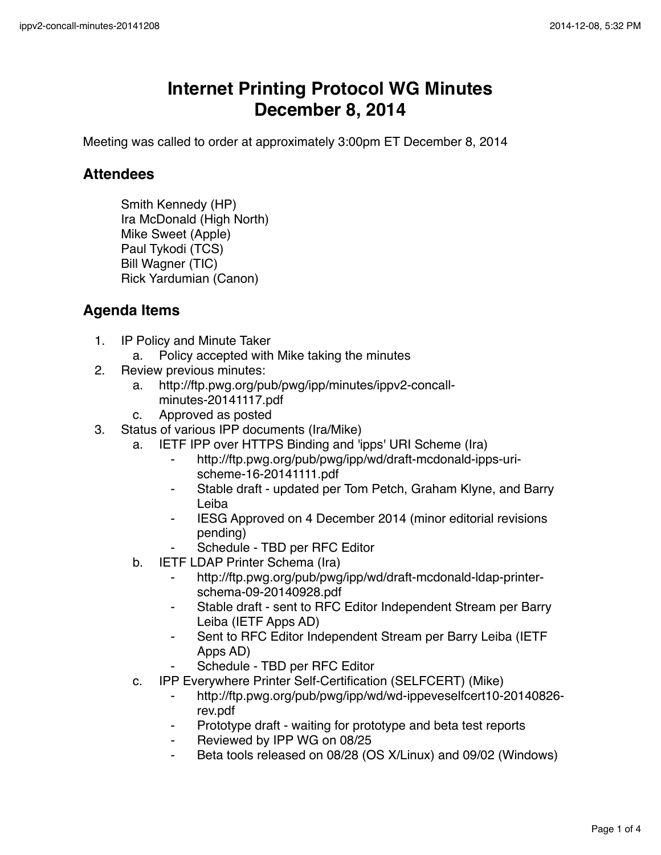## **Internet Printing Protocol WG Minutes December 8, 2014**

Meeting was called to order at approximately 3:00pm ET December 8, 2014

## **Attendees**

Smith Kennedy (HP) Ira McDonald (High North) Mike Sweet (Apple) Paul Tykodi (TCS) Bill Wagner (TIC) Rick Yardumian (Canon)

## **Agenda Items**

- 1. IP Policy and Minute Taker
	- a. Policy accepted with Mike taking the minutes
- 2. Review previous minutes:
	- a. http://ftp.pwg.org/pub/pwg/ipp/minutes/ippv2-concallminutes-20141117.pdf
	- c. Approved as posted
- 3. Status of various IPP documents (Ira/Mike)
	- a. IETF IPP over HTTPS Binding and 'ipps' URI Scheme (Ira)
		- ⁃ http://ftp.pwg.org/pub/pwg/ipp/wd/draft-mcdonald-ipps-urischeme-16-20141111.pdf
		- Stable draft updated per Tom Petch, Graham Klyne, and Barry Leiba
		- ⁃ IESG Approved on 4 December 2014 (minor editorial revisions pending)
		- Schedule TBD per RFC Editor
	- b. IETF LDAP Printer Schema (Ira)
		- http://ftp.pwg.org/pub/pwg/ipp/wd/draft-mcdonald-ldap-printerschema-09-20140928.pdf
		- ⁃ Stable draft sent to RFC Editor Independent Stream per Barry Leiba (IETF Apps AD)
		- Sent to RFC Editor Independent Stream per Barry Leiba (IETF Apps AD)
		- Schedule TBD per RFC Editor
	- c. IPP Everywhere Printer Self-Certification (SELFCERT) (Mike)
		- ⁃ http://ftp.pwg.org/pub/pwg/ipp/wd/wd-ippeveselfcert10-20140826 rev.pdf
		- ⁃ Prototype draft waiting for prototype and beta test reports
		- Reviewed by IPP WG on 08/25
		- Beta tools released on 08/28 (OS X/Linux) and 09/02 (Windows)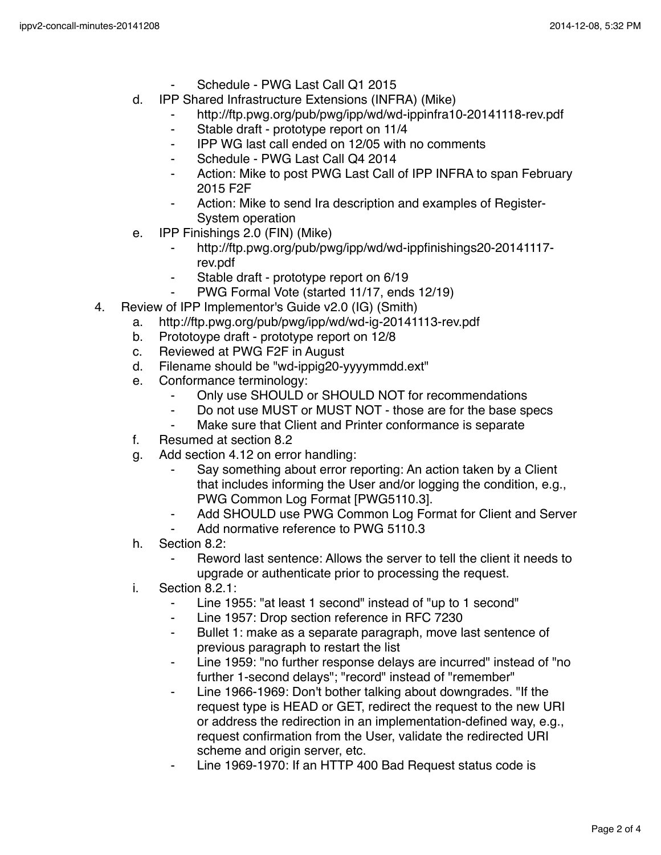- Schedule PWG Last Call Q1 2015
- d. IPP Shared Infrastructure Extensions (INFRA) (Mike)
	- http://ftp.pwg.org/pub/pwg/ipp/wd/wd-ippinfra10-20141118-rev.pdf
	- ⁃ Stable draft prototype report on 11/4
	- ⁃ IPP WG last call ended on 12/05 with no comments
	- Schedule PWG Last Call Q4 2014
	- Action: Mike to post PWG Last Call of IPP INFRA to span February 2015 F2F
	- Action: Mike to send Ira description and examples of Register-System operation
- e. IPP Finishings 2.0 (FIN) (Mike)
	- ⁃ http://ftp.pwg.org/pub/pwg/ipp/wd/wd-ippfinishings20-20141117 rev.pdf
	- Stable draft prototype report on 6/19
	- PWG Formal Vote (started 11/17, ends 12/19)
- 4. Review of IPP Implementor's Guide v2.0 (IG) (Smith)
	- a. http://ftp.pwg.org/pub/pwg/ipp/wd/wd-ig-20141113-rev.pdf
	- b. Prototoype draft prototype report on 12/8
	- c. Reviewed at PWG F2F in August
	- d. Filename should be "wd-ippig20-yyyymmdd.ext"
	- e. Conformance terminology:
		- ⁃ Only use SHOULD or SHOULD NOT for recommendations
		- ⁃ Do not use MUST or MUST NOT those are for the base specs
		- Make sure that Client and Printer conformance is separate
	- f. Resumed at section 8.2
	- g. Add section 4.12 on error handling:
		- Say something about error reporting: An action taken by a Client that includes informing the User and/or logging the condition, e.g., PWG Common Log Format [PWG5110.3].
		- Add SHOULD use PWG Common Log Format for Client and Server
		- Add normative reference to PWG 5110.3
	- h. Section 8.2:
		- Reword last sentence: Allows the server to tell the client it needs to upgrade or authenticate prior to processing the request.
	- i. Section 8.2.1:
		- Line 1955: "at least 1 second" instead of "up to 1 second"
		- ⁃ Line 1957: Drop section reference in RFC 7230
		- Bullet 1: make as a separate paragraph, move last sentence of previous paragraph to restart the list
		- Line 1959: "no further response delays are incurred" instead of "no further 1-second delays"; "record" instead of "remember"
		- ⁃ Line 1966-1969: Don't bother talking about downgrades. "If the request type is HEAD or GET, redirect the request to the new URI or address the redirection in an implementation-defined way, e.g., request confirmation from the User, validate the redirected URI scheme and origin server, etc.
		- Line 1969-1970: If an HTTP 400 Bad Request status code is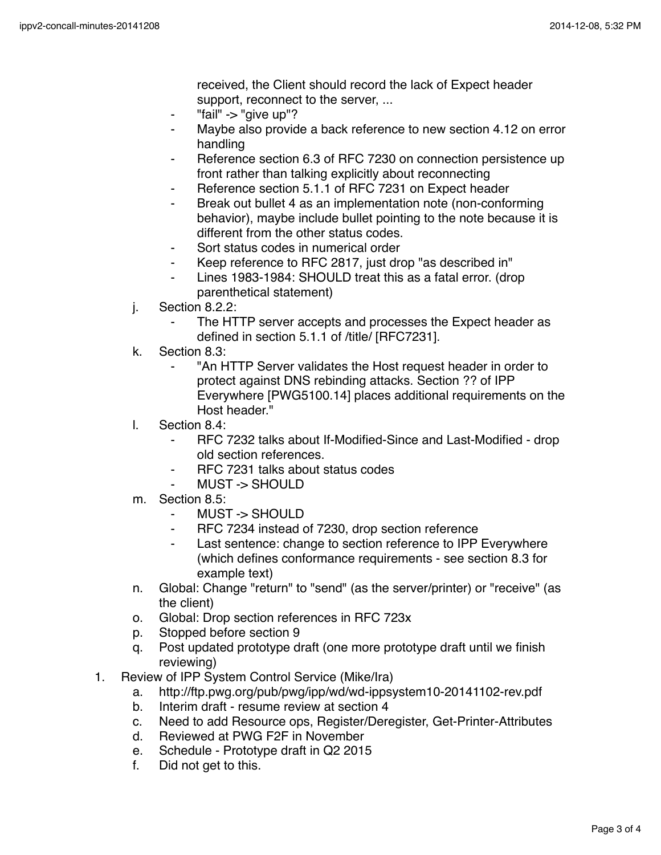received, the Client should record the lack of Expect header support, reconnect to the server, ...

- ⁃ "fail" -> "give up"?
- ⁃ Maybe also provide a back reference to new section 4.12 on error handling
- Reference section 6.3 of RFC 7230 on connection persistence up front rather than talking explicitly about reconnecting
- Reference section 5.1.1 of RFC 7231 on Expect header
- Break out bullet 4 as an implementation note (non-conforming behavior), maybe include bullet pointing to the note because it is different from the other status codes.
- ⁃ Sort status codes in numerical order
- Keep reference to RFC 2817, just drop "as described in"
- ⁃ Lines 1983-1984: SHOULD treat this as a fatal error. (drop parenthetical statement)
- j. Section 8.2.2:
	- The HTTP server accepts and processes the Expect header as defined in section 5.1.1 of /title/ [RFC7231].
- k. Section 8.3:
	- ⁃ "An HTTP Server validates the Host request header in order to protect against DNS rebinding attacks. Section ?? of IPP Everywhere [PWG5100.14] places additional requirements on the Host header."
- l. Section 8.4:
	- ⁃ RFC 7232 talks about If-Modified-Since and Last-Modified drop old section references.
	- ⁃ RFC 7231 talks about status codes
	- MUST -> SHOULD
- m. Section 8.5:
	- MUST -> SHOULD
	- ⁃ RFC 7234 instead of 7230, drop section reference
	- ⁃ Last sentence: change to section reference to IPP Everywhere (which defines conformance requirements - see section 8.3 for example text)
- n. Global: Change "return" to "send" (as the server/printer) or "receive" (as the client)
- o. Global: Drop section references in RFC 723x
- p. Stopped before section 9
- q. Post updated prototype draft (one more prototype draft until we finish reviewing)
- 1. Review of IPP System Control Service (Mike/Ira)
	- a. http://ftp.pwg.org/pub/pwg/ipp/wd/wd-ippsystem10-20141102-rev.pdf
	- b. Interim draft resume review at section 4
	- c. Need to add Resource ops, Register/Deregister, Get-Printer-Attributes
	- d. Reviewed at PWG F2F in November
	- e. Schedule Prototype draft in Q2 2015
	- f. Did not get to this.